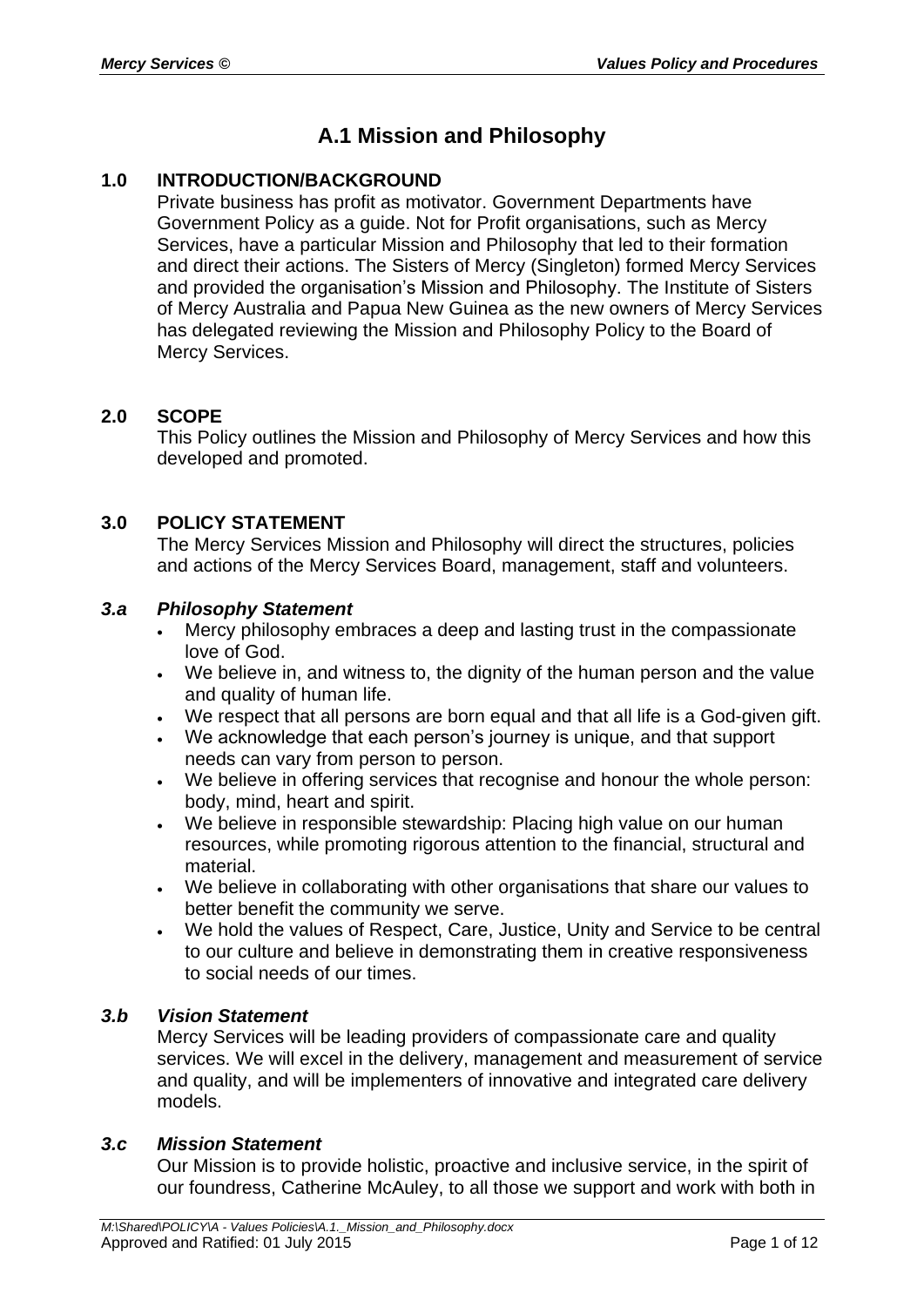# **A.1 Mission and Philosophy**

# **1.0 INTRODUCTION/BACKGROUND**

Private business has profit as motivator. Government Departments have Government Policy as a guide. Not for Profit organisations, such as Mercy Services, have a particular Mission and Philosophy that led to their formation and direct their actions. The Sisters of Mercy (Singleton) formed Mercy Services and provided the organisation's Mission and Philosophy. The Institute of Sisters of Mercy Australia and Papua New Guinea as the new owners of Mercy Services has delegated reviewing the Mission and Philosophy Policy to the Board of Mercy Services.

# **2.0 SCOPE**

This Policy outlines the Mission and Philosophy of Mercy Services and how this developed and promoted.

# **3.0 POLICY STATEMENT**

The Mercy Services Mission and Philosophy will direct the structures, policies and actions of the Mercy Services Board, management, staff and volunteers.

# *3.a Philosophy Statement*

- Mercy philosophy embraces a deep and lasting trust in the compassionate love of God.
- We believe in, and witness to, the dignity of the human person and the value and quality of human life.
- We respect that all persons are born equal and that all life is a God-given gift.
- We acknowledge that each person's journey is unique, and that support needs can vary from person to person.
- We believe in offering services that recognise and honour the whole person: body, mind, heart and spirit.
- We believe in responsible stewardship: Placing high value on our human resources, while promoting rigorous attention to the financial, structural and material.
- We believe in collaborating with other organisations that share our values to better benefit the community we serve.
- We hold the values of Respect, Care, Justice, Unity and Service to be central to our culture and believe in demonstrating them in creative responsiveness to social needs of our times.

# *3.b Vision Statement*

Mercy Services will be leading providers of compassionate care and quality services. We will excel in the delivery, management and measurement of service and quality, and will be implementers of innovative and integrated care delivery models.

# *3.c Mission Statement*

Our Mission is to provide holistic, proactive and inclusive service, in the spirit of our foundress, Catherine McAuley, to all those we support and work with both in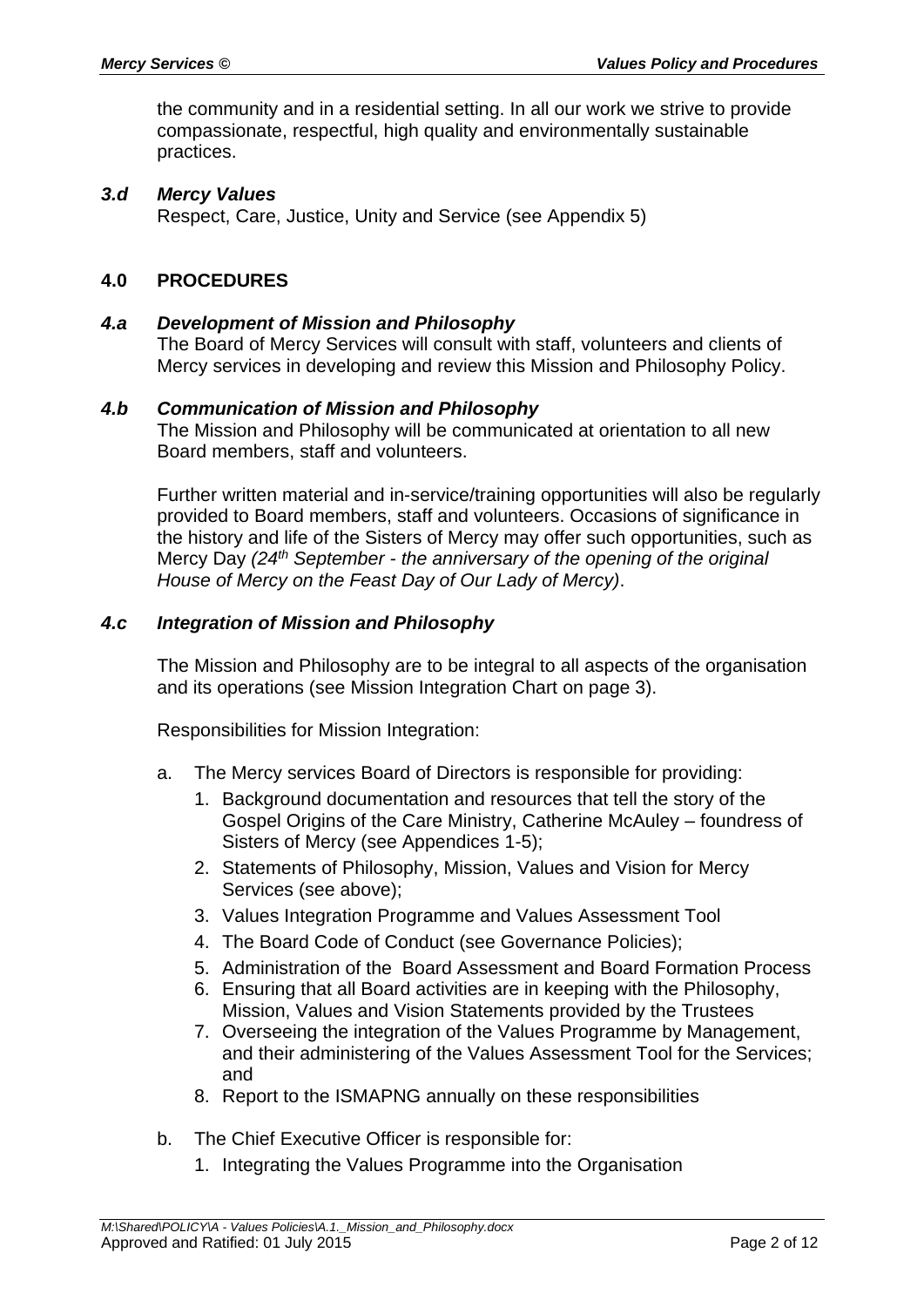the community and in a residential setting. In all our work we strive to provide compassionate, respectful, high quality and environmentally sustainable practices.

### *3.d Mercy Values*

Respect, Care, Justice, Unity and Service (see Appendix 5)

# **4.0 PROCEDURES**

### *4.a Development of Mission and Philosophy*

The Board of Mercy Services will consult with staff, volunteers and clients of Mercy services in developing and review this Mission and Philosophy Policy.

### *4.b Communication of Mission and Philosophy*

The Mission and Philosophy will be communicated at orientation to all new Board members, staff and volunteers.

Further written material and in-service/training opportunities will also be regularly provided to Board members, staff and volunteers. Occasions of significance in the history and life of the Sisters of Mercy may offer such opportunities, such as Mercy Day *(24th September - the anniversary of the opening of the original House of Mercy on the Feast Day of Our Lady of Mercy)*.

### *4.c Integration of Mission and Philosophy*

The Mission and Philosophy are to be integral to all aspects of the organisation and its operations (see Mission Integration Chart on page 3).

Responsibilities for Mission Integration:

- a. The Mercy services Board of Directors is responsible for providing:
	- 1. Background documentation and resources that tell the story of the Gospel Origins of the Care Ministry, Catherine McAuley – foundress of Sisters of Mercy (see Appendices 1-5);
	- 2. Statements of Philosophy, Mission, Values and Vision for Mercy Services (see above);
	- 3. Values Integration Programme and Values Assessment Tool
	- 4. The Board Code of Conduct (see Governance Policies);
	- 5. Administration of the Board Assessment and Board Formation Process
	- 6. Ensuring that all Board activities are in keeping with the Philosophy, Mission, Values and Vision Statements provided by the Trustees
	- 7. Overseeing the integration of the Values Programme by Management, and their administering of the Values Assessment Tool for the Services; and
	- 8. Report to the ISMAPNG annually on these responsibilities
- b. The Chief Executive Officer is responsible for:
	- 1. Integrating the Values Programme into the Organisation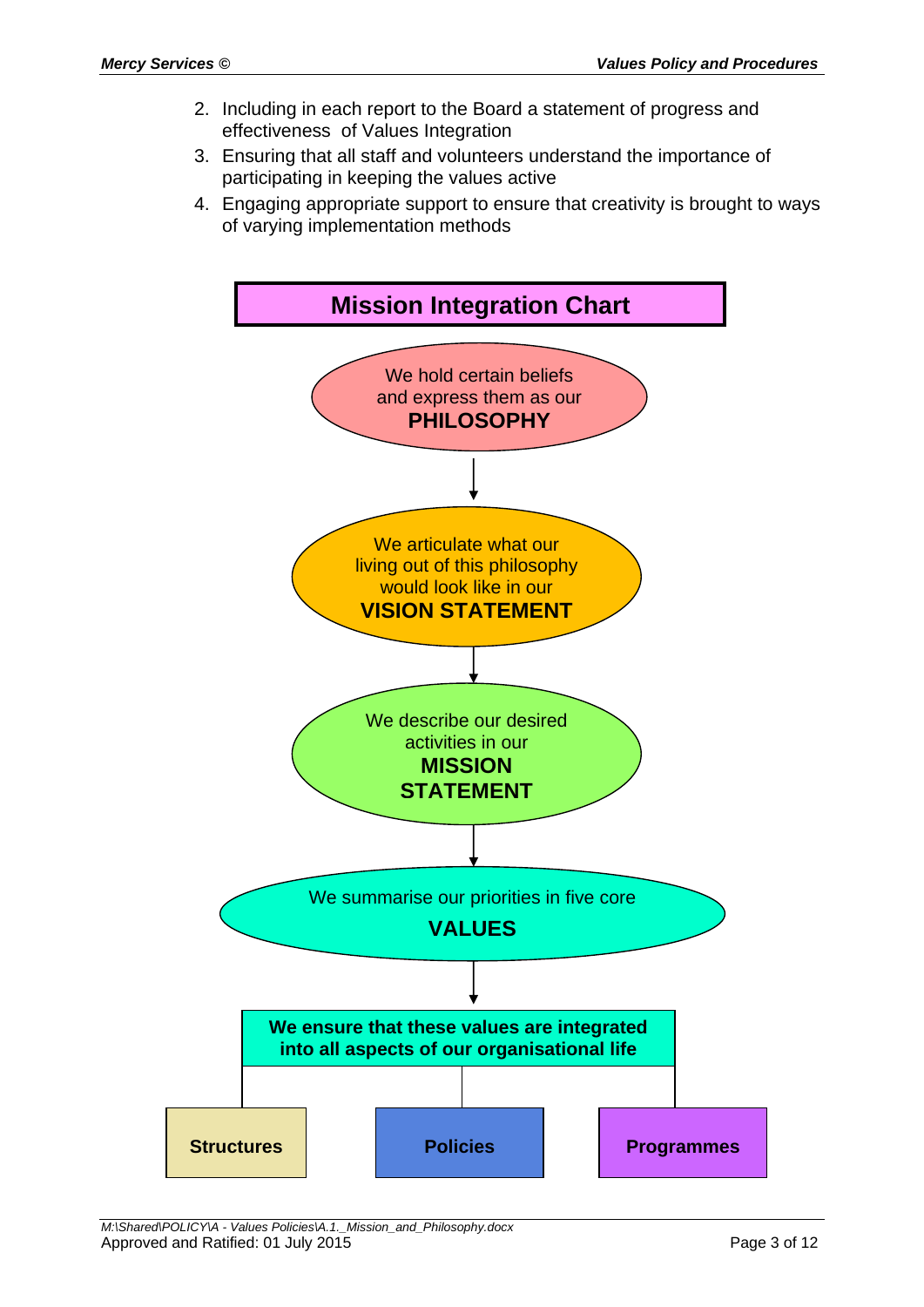- 2. Including in each report to the Board a statement of progress and effectiveness of Values Integration
- 3. Ensuring that all staff and volunteers understand the importance of participating in keeping the values active
- 4. Engaging appropriate support to ensure that creativity is brought to ways of varying implementation methods

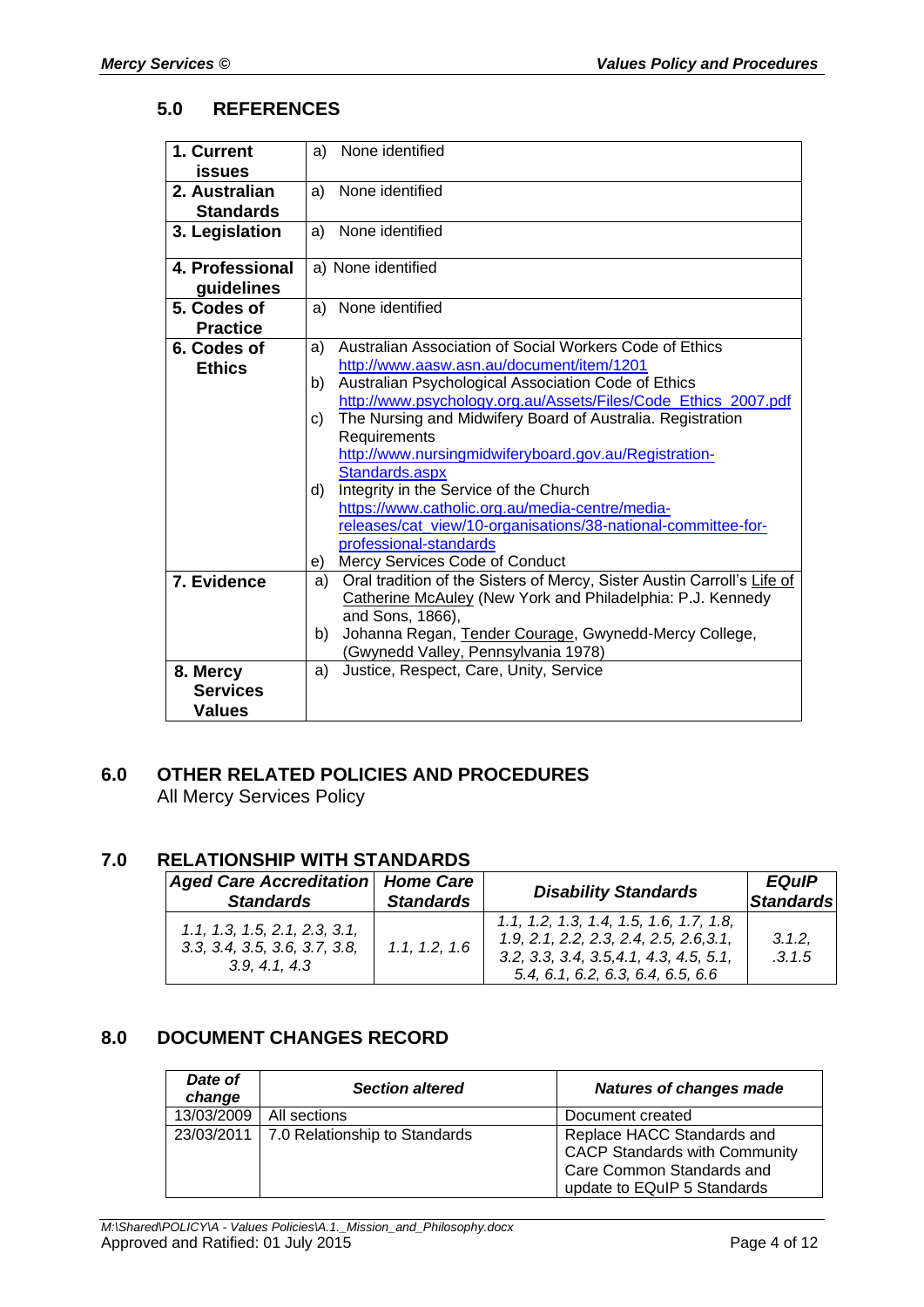### **5.0 REFERENCES**

| 1. Current       | a) | None identified                                                         |
|------------------|----|-------------------------------------------------------------------------|
| issues           |    |                                                                         |
| 2. Australian    | a) | None identified                                                         |
| <b>Standards</b> |    |                                                                         |
| 3. Legislation   | a) | None identified                                                         |
| 4. Professional  |    | a) None identified                                                      |
| guidelines       |    |                                                                         |
| 5. Codes of      | a) | None identified                                                         |
| <b>Practice</b>  |    |                                                                         |
| 6. Codes of      | a) | Australian Association of Social Workers Code of Ethics                 |
| <b>Ethics</b>    |    | http://www.aasw.asn.au/document/item/1201                               |
|                  | b) | Australian Psychological Association Code of Ethics                     |
|                  |    | http://www.psychology.org.au/Assets/Files/Code_Ethics_2007.pdf          |
|                  | C) | The Nursing and Midwifery Board of Australia. Registration              |
|                  |    | Requirements                                                            |
|                  |    | http://www.nursingmidwiferyboard.gov.au/Registration-                   |
|                  |    | Standards.aspx                                                          |
|                  | d) | Integrity in the Service of the Church                                  |
|                  |    | https://www.catholic.org.au/media-centre/media-                         |
|                  |    | releases/cat_view/10-organisations/38-national-committee-for-           |
|                  |    | professional-standards                                                  |
|                  | e) | Mercy Services Code of Conduct                                          |
| 7. Evidence      | a) | Oral tradition of the Sisters of Mercy, Sister Austin Carroll's Life of |
|                  |    | Catherine McAuley (New York and Philadelphia: P.J. Kennedy              |
|                  |    | and Sons, 1866),                                                        |
|                  | b) | Johanna Regan, Tender Courage, Gwynedd-Mercy College,                   |
|                  |    | (Gwynedd Valley, Pennsylvania 1978)                                     |
| 8. Mercy         | a) | Justice, Respect, Care, Unity, Service                                  |
| <b>Services</b>  |    |                                                                         |
| Values           |    |                                                                         |

# **6.0 OTHER RELATED POLICIES AND PROCEDURES** All Mercy Services Policy

# **7.0 RELATIONSHIP WITH STANDARDS**

| <u>KEEAHVRUHI WIIH YIANDAKDY</u>                                                |                  |                                                                                                                                                                        |                           |  |  |  |  |
|---------------------------------------------------------------------------------|------------------|------------------------------------------------------------------------------------------------------------------------------------------------------------------------|---------------------------|--|--|--|--|
| Aged Care Accreditation   Home Care<br><b>Standards</b>                         | <b>Standards</b> | <b>Disability Standards</b>                                                                                                                                            | <b>EQuIP</b><br>Standards |  |  |  |  |
| 1.1, 1.3, 1.5, 2.1, 2.3, 3.1,<br>3.3, 3.4, 3.5, 3.6, 3.7, 3.8,<br>3.9, 4.1, 4.3 | 1.1, 1.2, 1.6    | $1.1, 1.2, 1.3, 1.4, 1.5, 1.6, 1.7, 1.8,$<br>1.9, 2.1, 2.2, 2.3, 2.4, 2.5, 2.6, 3.1,<br>$3.2, 3.3, 3.4, 3.5, 4.1, 4.3, 4.5, 5.1,$<br>5.4, 6.1, 6.2, 6.3, 6.4, 6.5, 6.6 | 3.1.2.<br>.3.1.5          |  |  |  |  |

# **8.0 DOCUMENT CHANGES RECORD**

| Date of<br>change | <b>Section altered</b>                     | <b>Natures of changes made</b>                                                                                                 |  |
|-------------------|--------------------------------------------|--------------------------------------------------------------------------------------------------------------------------------|--|
| 13/03/2009        | All sections                               | Document created                                                                                                               |  |
|                   | 23/03/2011   7.0 Relationship to Standards | Replace HACC Standards and<br><b>CACP Standards with Community</b><br>Care Common Standards and<br>update to EQuIP 5 Standards |  |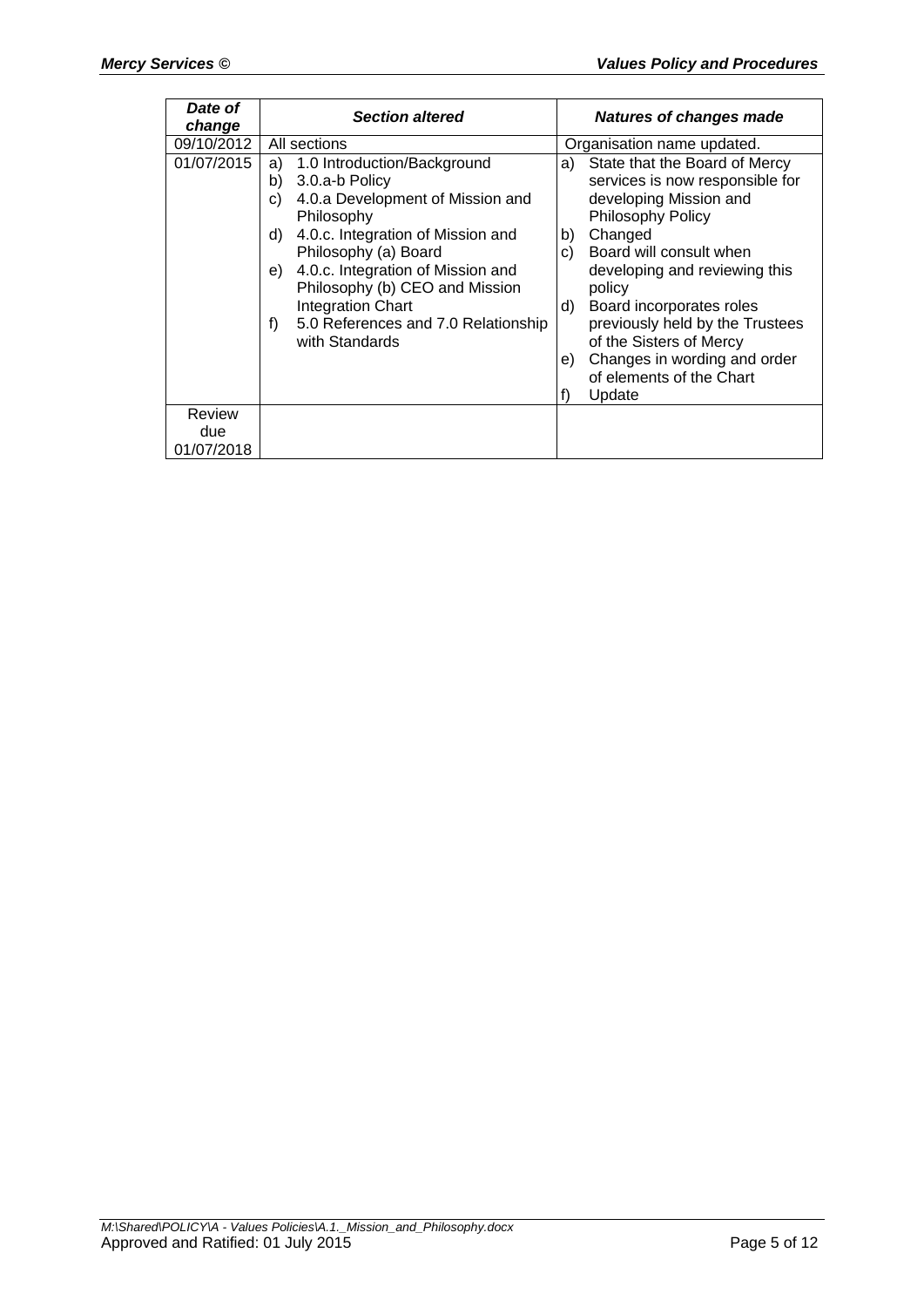| Date of<br>change | <b>Section altered</b>                                                                                                                                                                                                                                                                                                                                       | <b>Natures of changes made</b>                                                                                                                                                                                                                                                                                                                                                                        |  |
|-------------------|--------------------------------------------------------------------------------------------------------------------------------------------------------------------------------------------------------------------------------------------------------------------------------------------------------------------------------------------------------------|-------------------------------------------------------------------------------------------------------------------------------------------------------------------------------------------------------------------------------------------------------------------------------------------------------------------------------------------------------------------------------------------------------|--|
| 09/10/2012        | All sections                                                                                                                                                                                                                                                                                                                                                 | Organisation name updated.                                                                                                                                                                                                                                                                                                                                                                            |  |
| 01/07/2015        | 1.0 Introduction/Background<br>a)<br>3.0.a-b Policy<br>b)<br>4.0.a Development of Mission and<br>C)<br>Philosophy<br>4.0.c. Integration of Mission and<br>d)<br>Philosophy (a) Board<br>4.0.c. Integration of Mission and<br>e)<br>Philosophy (b) CEO and Mission<br><b>Integration Chart</b><br>5.0 References and 7.0 Relationship<br>f)<br>with Standards | State that the Board of Mercy<br>a)<br>services is now responsible for<br>developing Mission and<br><b>Philosophy Policy</b><br>Changed<br>b)<br>Board will consult when<br>C)<br>developing and reviewing this<br>policy<br>Board incorporates roles<br>d)<br>previously held by the Trustees<br>of the Sisters of Mercy<br>Changes in wording and order<br>e)<br>of elements of the Chart<br>Update |  |
| Review            |                                                                                                                                                                                                                                                                                                                                                              |                                                                                                                                                                                                                                                                                                                                                                                                       |  |
| due               |                                                                                                                                                                                                                                                                                                                                                              |                                                                                                                                                                                                                                                                                                                                                                                                       |  |
| 01/07/2018        |                                                                                                                                                                                                                                                                                                                                                              |                                                                                                                                                                                                                                                                                                                                                                                                       |  |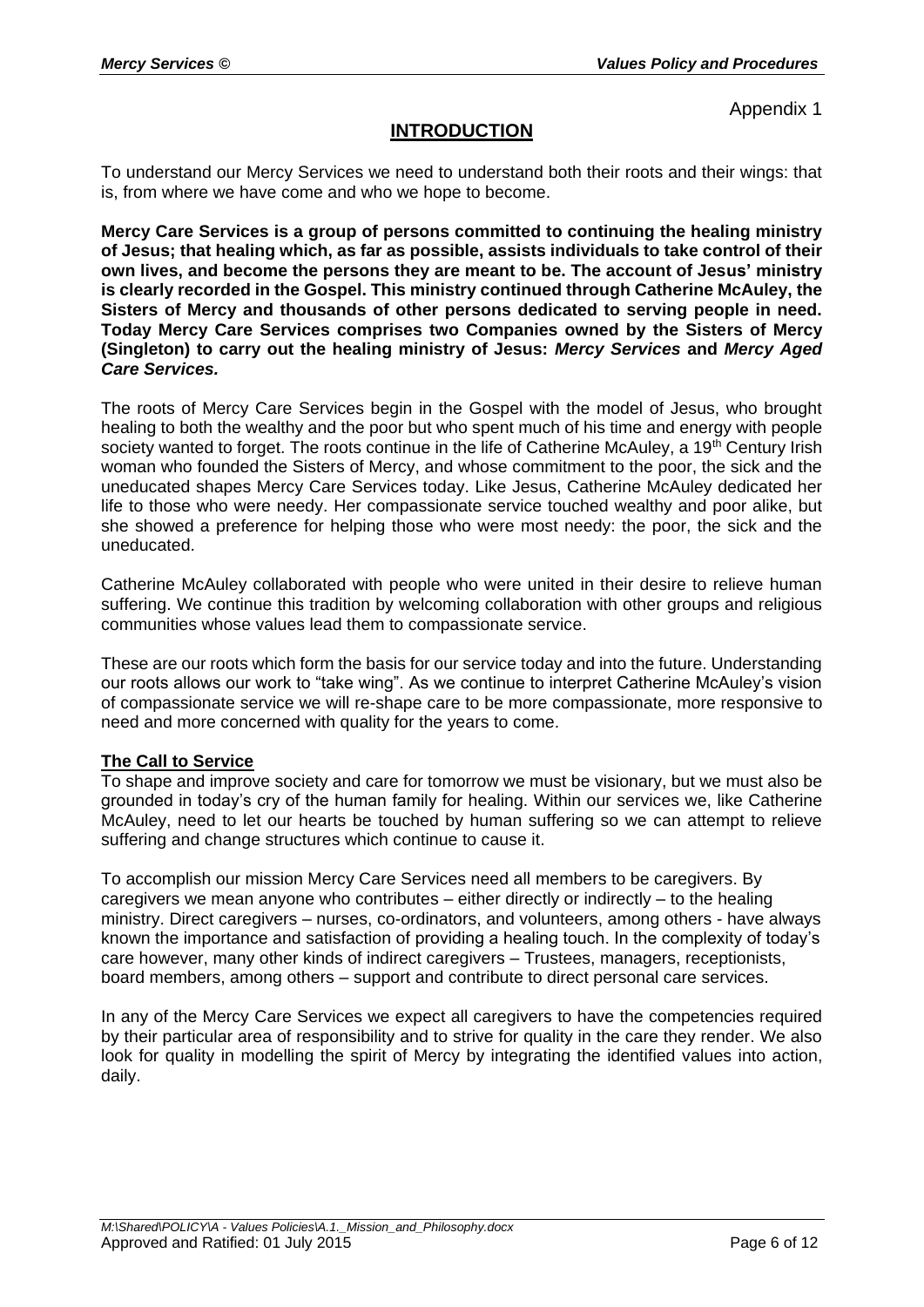# **INTRODUCTION**

To understand our Mercy Services we need to understand both their roots and their wings: that is, from where we have come and who we hope to become.

**Mercy Care Services is a group of persons committed to continuing the healing ministry of Jesus; that healing which, as far as possible, assists individuals to take control of their own lives, and become the persons they are meant to be. The account of Jesus' ministry is clearly recorded in the Gospel. This ministry continued through Catherine McAuley, the Sisters of Mercy and thousands of other persons dedicated to serving people in need. Today Mercy Care Services comprises two Companies owned by the Sisters of Mercy (Singleton) to carry out the healing ministry of Jesus:** *Mercy Services* **and** *Mercy Aged Care Services.*

The roots of Mercy Care Services begin in the Gospel with the model of Jesus, who brought healing to both the wealthy and the poor but who spent much of his time and energy with people society wanted to forget. The roots continue in the life of Catherine McAuley, a 19<sup>th</sup> Century Irish woman who founded the Sisters of Mercy, and whose commitment to the poor, the sick and the uneducated shapes Mercy Care Services today. Like Jesus, Catherine McAuley dedicated her life to those who were needy. Her compassionate service touched wealthy and poor alike, but she showed a preference for helping those who were most needy: the poor, the sick and the uneducated.

Catherine McAuley collaborated with people who were united in their desire to relieve human suffering. We continue this tradition by welcoming collaboration with other groups and religious communities whose values lead them to compassionate service.

These are our roots which form the basis for our service today and into the future. Understanding our roots allows our work to "take wing". As we continue to interpret Catherine McAuley's vision of compassionate service we will re-shape care to be more compassionate, more responsive to need and more concerned with quality for the years to come.

### **The Call to Service**

To shape and improve society and care for tomorrow we must be visionary, but we must also be grounded in today's cry of the human family for healing. Within our services we, like Catherine McAuley, need to let our hearts be touched by human suffering so we can attempt to relieve suffering and change structures which continue to cause it.

To accomplish our mission Mercy Care Services need all members to be caregivers. By caregivers we mean anyone who contributes – either directly or indirectly – to the healing ministry. Direct caregivers – nurses, co-ordinators, and volunteers, among others - have always known the importance and satisfaction of providing a healing touch. In the complexity of today's care however, many other kinds of indirect caregivers – Trustees, managers, receptionists, board members, among others – support and contribute to direct personal care services.

In any of the Mercy Care Services we expect all caregivers to have the competencies required by their particular area of responsibility and to strive for quality in the care they render. We also look for quality in modelling the spirit of Mercy by integrating the identified values into action, daily.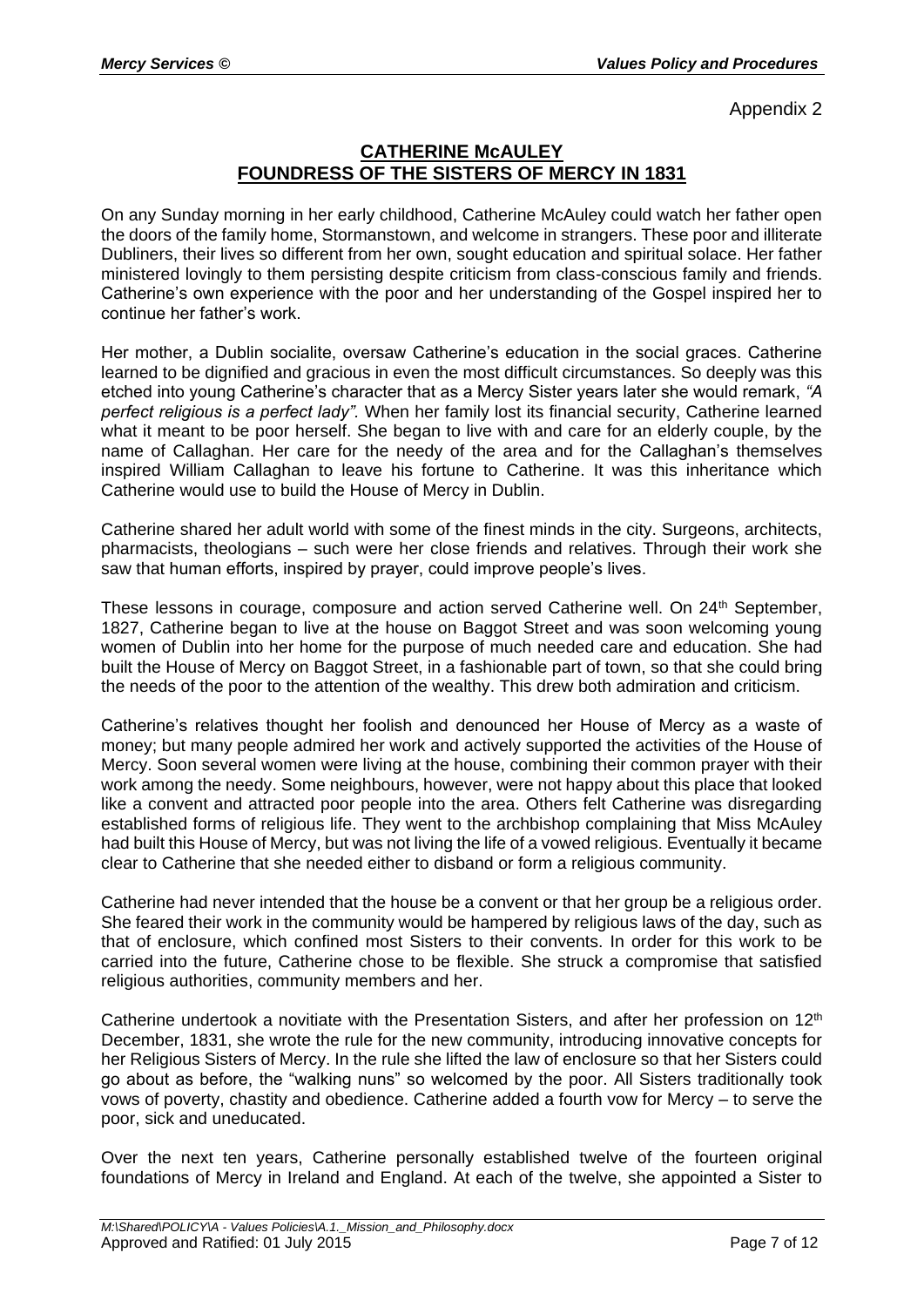# **CATHERINE McAULEY FOUNDRESS OF THE SISTERS OF MERCY IN 1831**

On any Sunday morning in her early childhood, Catherine McAuley could watch her father open the doors of the family home, Stormanstown, and welcome in strangers. These poor and illiterate Dubliners, their lives so different from her own, sought education and spiritual solace. Her father ministered lovingly to them persisting despite criticism from class-conscious family and friends. Catherine's own experience with the poor and her understanding of the Gospel inspired her to continue her father's work.

Her mother, a Dublin socialite, oversaw Catherine's education in the social graces. Catherine learned to be dignified and gracious in even the most difficult circumstances. So deeply was this etched into young Catherine's character that as a Mercy Sister years later she would remark, *"A perfect religious is a perfect lady".* When her family lost its financial security, Catherine learned what it meant to be poor herself. She began to live with and care for an elderly couple, by the name of Callaghan. Her care for the needy of the area and for the Callaghan's themselves inspired William Callaghan to leave his fortune to Catherine. It was this inheritance which Catherine would use to build the House of Mercy in Dublin.

Catherine shared her adult world with some of the finest minds in the city. Surgeons, architects, pharmacists, theologians – such were her close friends and relatives. Through their work she saw that human efforts, inspired by prayer, could improve people's lives.

These lessons in courage, composure and action served Catherine well. On 24<sup>th</sup> September, 1827, Catherine began to live at the house on Baggot Street and was soon welcoming young women of Dublin into her home for the purpose of much needed care and education. She had built the House of Mercy on Baggot Street, in a fashionable part of town, so that she could bring the needs of the poor to the attention of the wealthy. This drew both admiration and criticism.

Catherine's relatives thought her foolish and denounced her House of Mercy as a waste of money; but many people admired her work and actively supported the activities of the House of Mercy. Soon several women were living at the house, combining their common prayer with their work among the needy. Some neighbours, however, were not happy about this place that looked like a convent and attracted poor people into the area. Others felt Catherine was disregarding established forms of religious life. They went to the archbishop complaining that Miss McAuley had built this House of Mercy, but was not living the life of a vowed religious. Eventually it became clear to Catherine that she needed either to disband or form a religious community.

Catherine had never intended that the house be a convent or that her group be a religious order. She feared their work in the community would be hampered by religious laws of the day, such as that of enclosure, which confined most Sisters to their convents. In order for this work to be carried into the future, Catherine chose to be flexible. She struck a compromise that satisfied religious authorities, community members and her.

Catherine undertook a novitiate with the Presentation Sisters, and after her profession on  $12<sup>th</sup>$ December, 1831, she wrote the rule for the new community, introducing innovative concepts for her Religious Sisters of Mercy. In the rule she lifted the law of enclosure so that her Sisters could go about as before, the "walking nuns" so welcomed by the poor. All Sisters traditionally took vows of poverty, chastity and obedience. Catherine added a fourth vow for Mercy – to serve the poor, sick and uneducated.

Over the next ten years, Catherine personally established twelve of the fourteen original foundations of Mercy in Ireland and England. At each of the twelve, she appointed a Sister to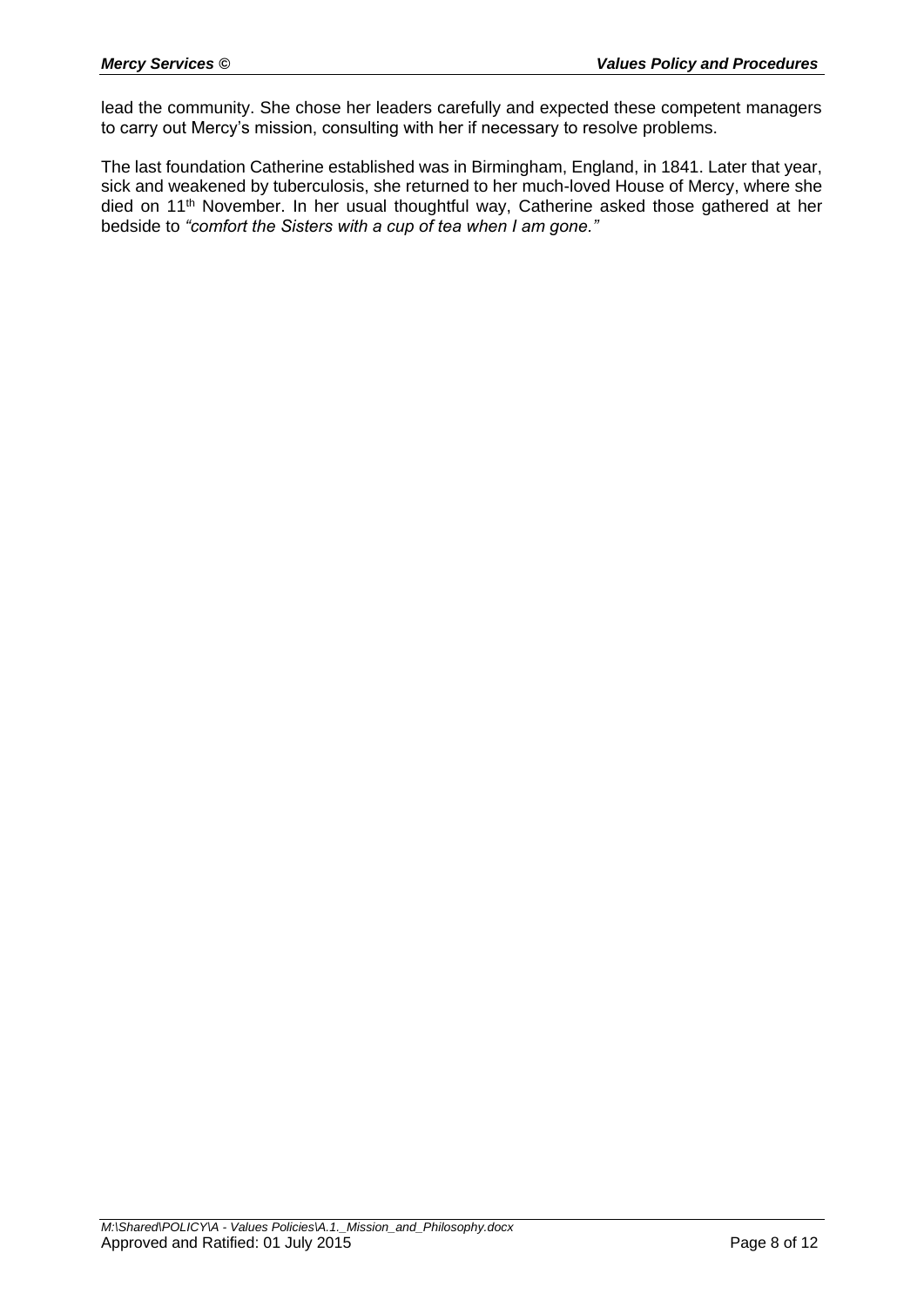lead the community. She chose her leaders carefully and expected these competent managers to carry out Mercy's mission, consulting with her if necessary to resolve problems.

The last foundation Catherine established was in Birmingham, England, in 1841. Later that year, sick and weakened by tuberculosis, she returned to her much-loved House of Mercy, where she died on 11<sup>th</sup> November. In her usual thoughtful way, Catherine asked those gathered at her bedside to *"comfort the Sisters with a cup of tea when I am gone."*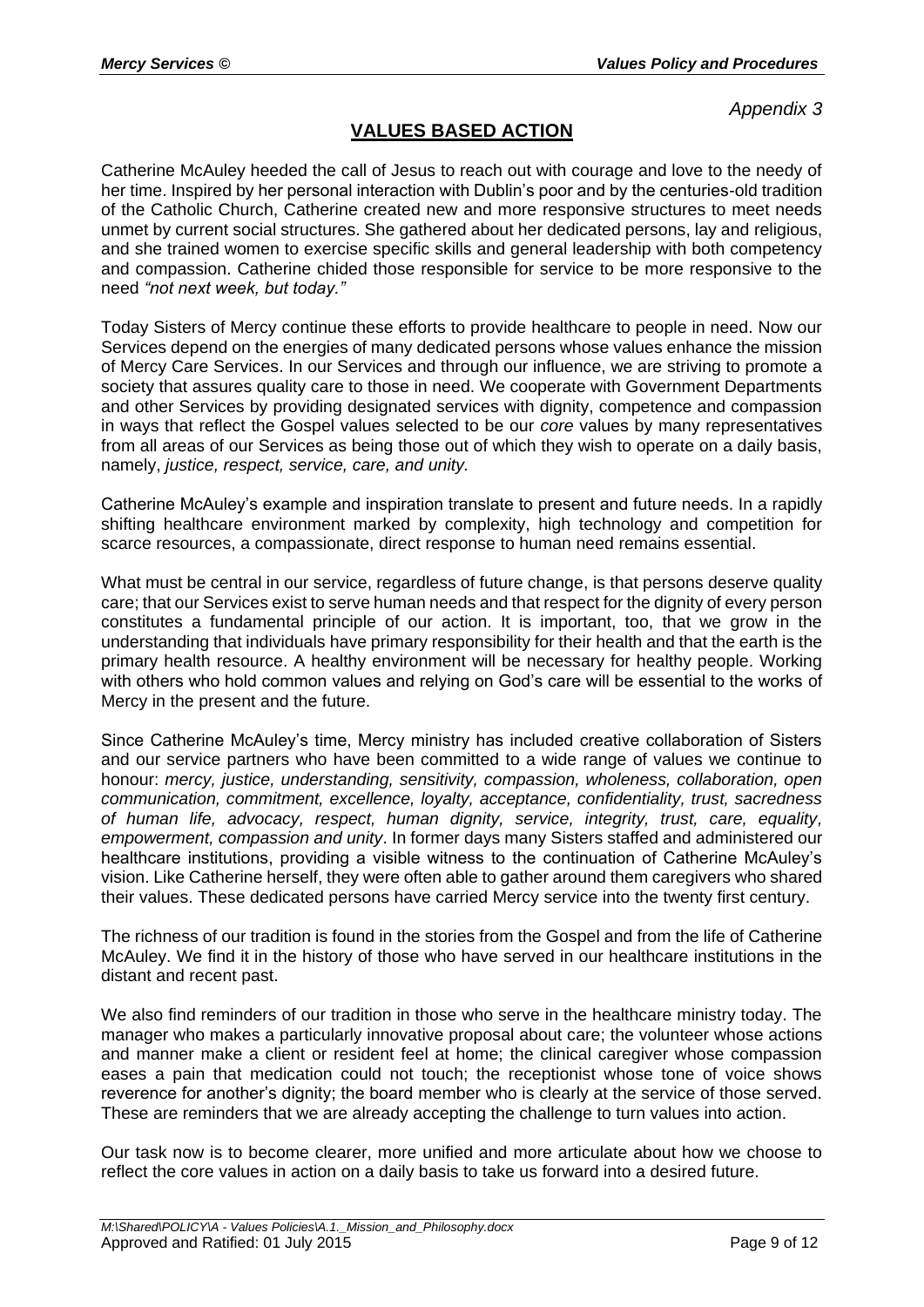# **VALUES BASED ACTION**

Catherine McAuley heeded the call of Jesus to reach out with courage and love to the needy of her time. Inspired by her personal interaction with Dublin's poor and by the centuries-old tradition of the Catholic Church, Catherine created new and more responsive structures to meet needs unmet by current social structures. She gathered about her dedicated persons, lay and religious, and she trained women to exercise specific skills and general leadership with both competency and compassion. Catherine chided those responsible for service to be more responsive to the need *"not next week, but today."*

Today Sisters of Mercy continue these efforts to provide healthcare to people in need. Now our Services depend on the energies of many dedicated persons whose values enhance the mission of Mercy Care Services. In our Services and through our influence, we are striving to promote a society that assures quality care to those in need. We cooperate with Government Departments and other Services by providing designated services with dignity, competence and compassion in ways that reflect the Gospel values selected to be our *core* values by many representatives from all areas of our Services as being those out of which they wish to operate on a daily basis, namely, *justice, respect, service, care, and unity.* 

Catherine McAuley's example and inspiration translate to present and future needs. In a rapidly shifting healthcare environment marked by complexity, high technology and competition for scarce resources, a compassionate, direct response to human need remains essential.

What must be central in our service, regardless of future change, is that persons deserve quality care; that our Services exist to serve human needs and that respect for the dignity of every person constitutes a fundamental principle of our action. It is important, too, that we grow in the understanding that individuals have primary responsibility for their health and that the earth is the primary health resource. A healthy environment will be necessary for healthy people. Working with others who hold common values and relying on God's care will be essential to the works of Mercy in the present and the future.

Since Catherine McAuley's time, Mercy ministry has included creative collaboration of Sisters and our service partners who have been committed to a wide range of values we continue to honour: *mercy, justice, understanding, sensitivity, compassion, wholeness, collaboration, open communication, commitment, excellence, loyalty, acceptance, confidentiality, trust, sacredness of human life, advocacy, respect, human dignity, service, integrity, trust, care, equality, empowerment, compassion and unity*. In former days many Sisters staffed and administered our healthcare institutions, providing a visible witness to the continuation of Catherine McAuley's vision. Like Catherine herself, they were often able to gather around them caregivers who shared their values. These dedicated persons have carried Mercy service into the twenty first century.

The richness of our tradition is found in the stories from the Gospel and from the life of Catherine McAuley. We find it in the history of those who have served in our healthcare institutions in the distant and recent past.

We also find reminders of our tradition in those who serve in the healthcare ministry today. The manager who makes a particularly innovative proposal about care; the volunteer whose actions and manner make a client or resident feel at home; the clinical caregiver whose compassion eases a pain that medication could not touch; the receptionist whose tone of voice shows reverence for another's dignity; the board member who is clearly at the service of those served. These are reminders that we are already accepting the challenge to turn values into action.

Our task now is to become clearer, more unified and more articulate about how we choose to reflect the core values in action on a daily basis to take us forward into a desired future.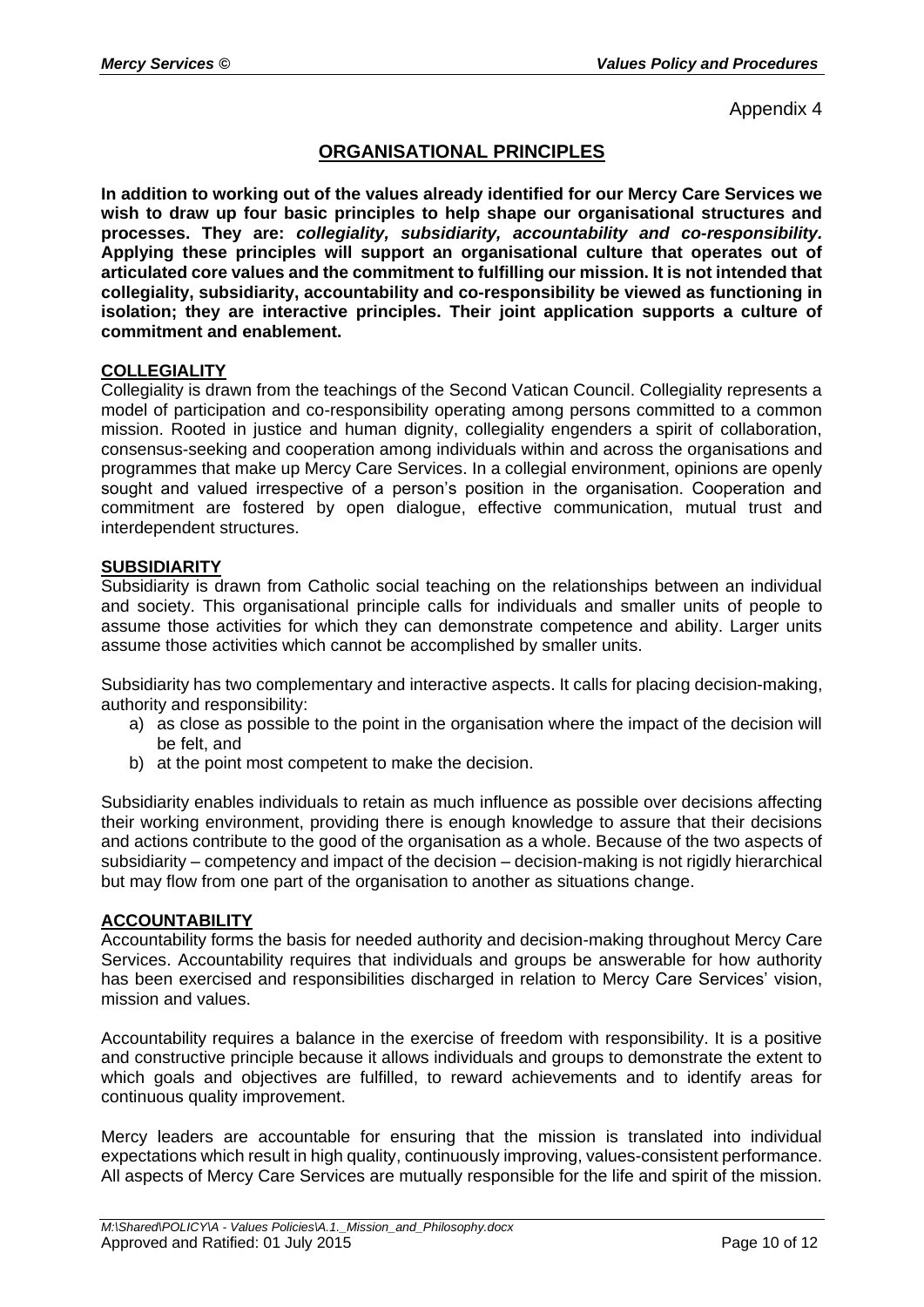# **ORGANISATIONAL PRINCIPLES**

**In addition to working out of the values already identified for our Mercy Care Services we wish to draw up four basic principles to help shape our organisational structures and processes. They are:** *collegiality, subsidiarity, accountability and co-responsibility.*  **Applying these principles will support an organisational culture that operates out of articulated core values and the commitment to fulfilling our mission. It is not intended that collegiality, subsidiarity, accountability and co-responsibility be viewed as functioning in isolation; they are interactive principles. Their joint application supports a culture of commitment and enablement.** 

### **COLLEGIALITY**

Collegiality is drawn from the teachings of the Second Vatican Council. Collegiality represents a model of participation and co-responsibility operating among persons committed to a common mission. Rooted in justice and human dignity, collegiality engenders a spirit of collaboration, consensus-seeking and cooperation among individuals within and across the organisations and programmes that make up Mercy Care Services. In a collegial environment, opinions are openly sought and valued irrespective of a person's position in the organisation. Cooperation and commitment are fostered by open dialogue, effective communication, mutual trust and interdependent structures.

### **SUBSIDIARITY**

Subsidiarity is drawn from Catholic social teaching on the relationships between an individual and society. This organisational principle calls for individuals and smaller units of people to assume those activities for which they can demonstrate competence and ability. Larger units assume those activities which cannot be accomplished by smaller units.

Subsidiarity has two complementary and interactive aspects. It calls for placing decision-making, authority and responsibility:

- a) as close as possible to the point in the organisation where the impact of the decision will be felt, and
- b) at the point most competent to make the decision.

Subsidiarity enables individuals to retain as much influence as possible over decisions affecting their working environment, providing there is enough knowledge to assure that their decisions and actions contribute to the good of the organisation as a whole. Because of the two aspects of subsidiarity – competency and impact of the decision – decision-making is not rigidly hierarchical but may flow from one part of the organisation to another as situations change.

#### **ACCOUNTABILITY**

Accountability forms the basis for needed authority and decision-making throughout Mercy Care Services. Accountability requires that individuals and groups be answerable for how authority has been exercised and responsibilities discharged in relation to Mercy Care Services' vision, mission and values.

Accountability requires a balance in the exercise of freedom with responsibility. It is a positive and constructive principle because it allows individuals and groups to demonstrate the extent to which goals and objectives are fulfilled, to reward achievements and to identify areas for continuous quality improvement.

Mercy leaders are accountable for ensuring that the mission is translated into individual expectations which result in high quality, continuously improving, values-consistent performance. All aspects of Mercy Care Services are mutually responsible for the life and spirit of the mission.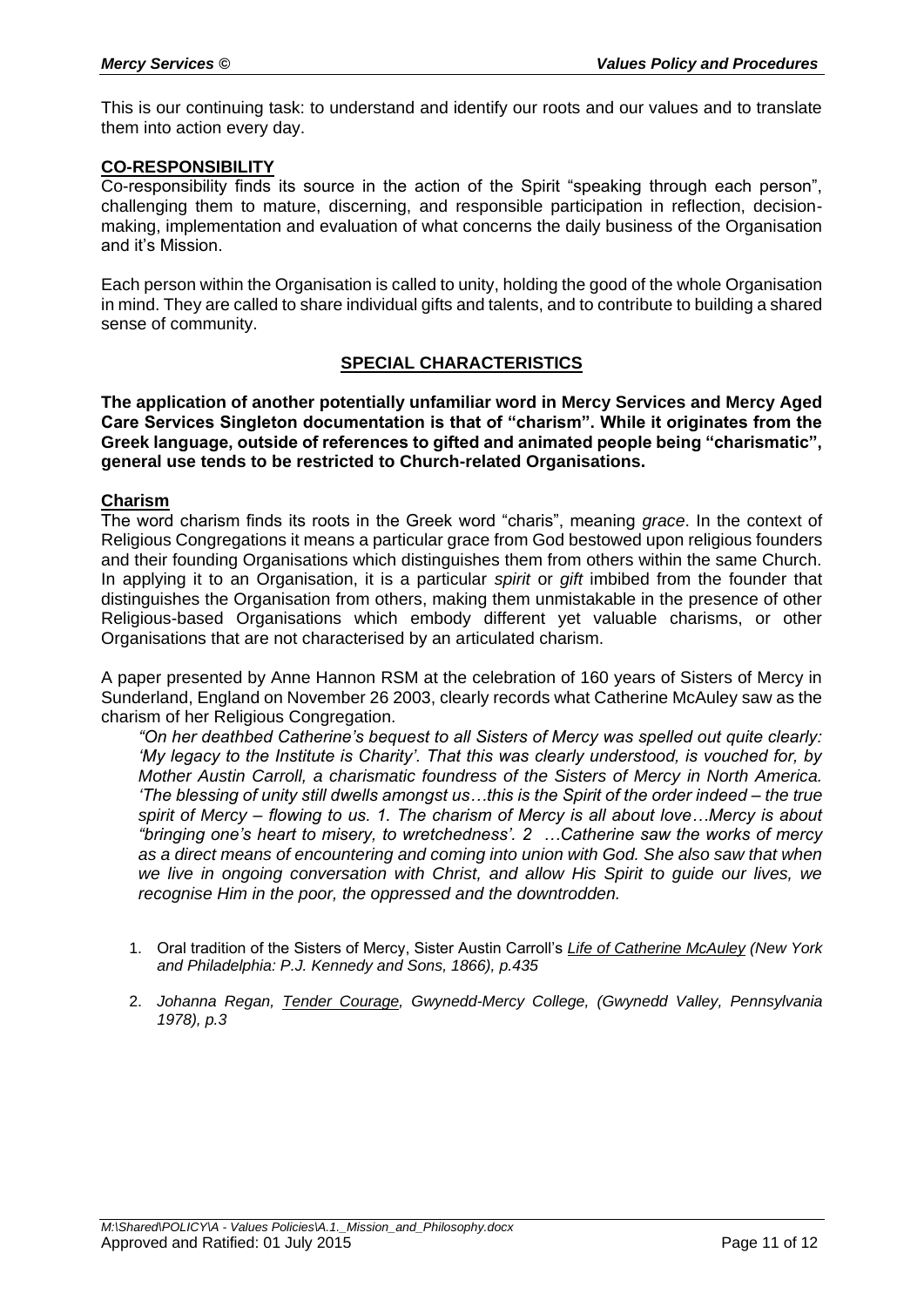This is our continuing task: to understand and identify our roots and our values and to translate them into action every day.

### **CO-RESPONSIBILITY**

Co-responsibility finds its source in the action of the Spirit "speaking through each person", challenging them to mature, discerning, and responsible participation in reflection, decisionmaking, implementation and evaluation of what concerns the daily business of the Organisation and it's Mission.

Each person within the Organisation is called to unity, holding the good of the whole Organisation in mind. They are called to share individual gifts and talents, and to contribute to building a shared sense of community.

### **SPECIAL CHARACTERISTICS**

**The application of another potentially unfamiliar word in Mercy Services and Mercy Aged Care Services Singleton documentation is that of "charism". While it originates from the Greek language, outside of references to gifted and animated people being "charismatic", general use tends to be restricted to Church-related Organisations.** 

#### **Charism**

The word charism finds its roots in the Greek word "charis", meaning *grace*. In the context of Religious Congregations it means a particular grace from God bestowed upon religious founders and their founding Organisations which distinguishes them from others within the same Church. In applying it to an Organisation, it is a particular *spirit* or *gift* imbibed from the founder that distinguishes the Organisation from others, making them unmistakable in the presence of other Religious-based Organisations which embody different yet valuable charisms, or other Organisations that are not characterised by an articulated charism.

A paper presented by Anne Hannon RSM at the celebration of 160 years of Sisters of Mercy in Sunderland, England on November 26 2003, clearly records what Catherine McAuley saw as the charism of her Religious Congregation.

*"On her deathbed Catherine's bequest to all Sisters of Mercy was spelled out quite clearly: 'My legacy to the Institute is Charity'. That this was clearly understood, is vouched for, by Mother Austin Carroll, a charismatic foundress of the Sisters of Mercy in North America. 'The blessing of unity still dwells amongst us…this is the Spirit of the order indeed – the true spirit of Mercy – flowing to us. 1. The charism of Mercy is all about love…Mercy is about "bringing one's heart to misery, to wretchedness'. 2 …Catherine saw the works of mercy as a direct means of encountering and coming into union with God. She also saw that when we live in ongoing conversation with Christ, and allow His Spirit to guide our lives, we recognise Him in the poor, the oppressed and the downtrodden.* 

- 1. Oral tradition of the Sisters of Mercy, Sister Austin Carroll's *Life of Catherine McAuley (New York and Philadelphia: P.J. Kennedy and Sons, 1866), p.435*
- 2. *Johanna Regan, Tender Courage, Gwynedd-Mercy College, (Gwynedd Valley, Pennsylvania 1978), p.3*